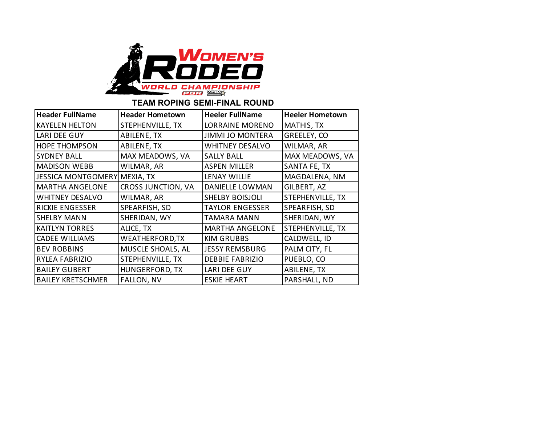

## **TEAM ROPING SEMI-FINAL ROUND**

| <b>Header FullName</b>       | <b>Header Hometown</b> | <b>Heeler FullName</b>  | <b>Heeler Hometown</b> |  |  |
|------------------------------|------------------------|-------------------------|------------------------|--|--|
| <b>KAYELEN HELTON</b>        | STEPHENVILLE, TX       | <b>LORRAINE MORENO</b>  | MATHIS, TX             |  |  |
| LARI DEE GUY                 | ABILENE, TX            | <b>JIMMI JO MONTERA</b> | GREELEY, CO            |  |  |
| <b>HOPE THOMPSON</b>         | ABILENE, TX            | <b>WHITNEY DESALVO</b>  | WILMAR, AR             |  |  |
| <b>SYDNEY BALL</b>           | MAX MEADOWS, VA        | <b>SALLY BALL</b>       | MAX MEADOWS, VA        |  |  |
| <b>MADISON WEBB</b>          | WILMAR, AR             | <b>ASPEN MILLER</b>     | SANTA FE, TX           |  |  |
| JESSICA MONTGOMERY MEXIA, TX |                        | <b>LENAY WILLIE</b>     | MAGDALENA, NM          |  |  |
| <b>MARTHA ANGELONE</b>       | CROSS JUNCTION, VA     | DANIELLE LOWMAN         | GILBERT, AZ            |  |  |
| <b>WHITNEY DESALVO</b>       | WILMAR, AR             | <b>SHELBY BOISJOLI</b>  | STEPHENVILLE, TX       |  |  |
| <b>RICKIE ENGESSER</b>       | SPEARFISH, SD          | <b>TAYLOR ENGESSER</b>  | SPEARFISH, SD          |  |  |
| <b>SHELBY MANN</b>           | SHERIDAN, WY           | <b>TAMARA MANN</b>      | SHERIDAN, WY           |  |  |
| <b>KAITLYN TORRES</b>        | ALICE, TX              | <b>MARTHA ANGELONE</b>  | STEPHENVILLE, TX       |  |  |
| <b>CADEE WILLIAMS</b>        | <b>WEATHERFORD, TX</b> | <b>KIM GRUBBS</b>       | CALDWELL, ID           |  |  |
| <b>BEV ROBBINS</b>           | MUSCLE SHOALS, AL      | <b>JESSY REMSBURG</b>   | PALM CITY, FL          |  |  |
| RYLEA FABRIZIO               | STEPHENVILLE, TX       | <b>DEBBIE FABRIZIO</b>  | PUEBLO, CO             |  |  |
| <b>BAILEY GUBERT</b>         | HUNGERFORD, TX         | LARI DEE GUY            | ABILENE, TX            |  |  |
| <b>BAILEY KRETSCHMER</b>     | <b>FALLON, NV</b>      | <b>ESKIE HEART</b>      | PARSHALL, ND           |  |  |